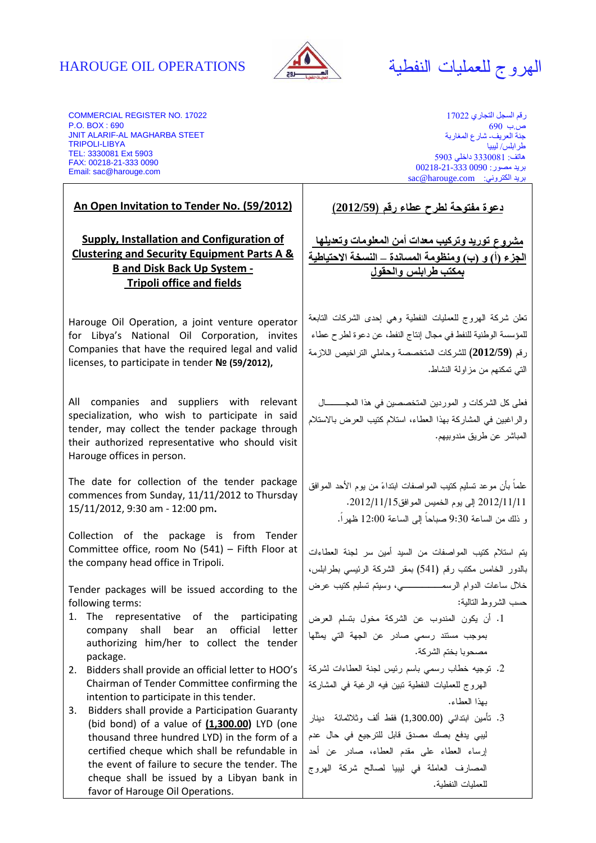# الهروج للعمليات النفطية OPERATIONS OIL HAROUGE



COMMERCIAL REGISTER NO. 17022 P.O. BOX : 690 JNIT ALARIF-AL MAGHARBA STEET TRIPOLI-LIBYA TEL: 3330081 Ext 5903 FAX: 00218-21-333 0090 Email: sac@harouge.com

**An Open Invitation to Tender No. (59/2012)**

**Supply, Installation and Configuration of Clustering and Security Equipment Parts A & B and Disk Back Up System - Tripoli office and fields**

Harouge Oil Operation, a joint venture operator for Libya's National Oil Corporation, invites Companies that have the required legal and valid licenses, to participate in tender **№ (59/2012),**

All companies and suppliers with relevant specialization, who wish to participate in said tender, may collect the tender package through their authorized representative who should visit Harouge offices in person.

The date for collection of the tender package commences from Sunday, 11/11/2012 to Thursday 15/11/2012, 9:30 am - 12:00 pm**.** 

Collection of the package is from Tender Committee office, room No (541) – Fifth Floor at the company head office in Tripoli.

Tender packages will be issued according to the following terms:

- 1. The representative of the participating company shall bear an official letter authorizing him/her to collect the tender package.
- 2. Bidders shall provide an official letter to HOO's Chairman of Tender Committee confirming the intention to participate in this tender.
- 3. Bidders shall provide a Participation Guaranty (bid bond) of a value of **(1,300.00)** LYD (one thousand three hundred LYD) in the form of a certified cheque which shall be refundable in the event of failure to secure the tender. The cheque shall be issued by a Libyan bank in favor of Harouge Oil Operations.

ر قم السجل التجار ي 17022 ص ب. 690 جنة العريف- شارع المغاربة طر ابلس/ ليبيا ( 3330081 داخلي 5903 2 345ر: 0090 00218-21-333 sac@harouge.com :بريد الكتروني

**دعوة مفتوحة لطرح عطاء رقم (2012/59)**

<u>مشروع توريد وتركيب معدات أمن المعلومات وتعديلها</u> الجزء (أ) و (ب) ومنظومة المساندة ــ النسخة الاحتياطية بمكتب طر ابلس و الحقو ل

تعلن شركة الهروج للعمليات النفطية وهي إحدى الشركات التابعة للمؤسسة الوطنية للنفط في مجال إنتاج النفط ، عن دعوة لطرح عطاء رقم **(2012/59)** لل شركات المتخصصة احو ملي التراخيص اللازمة التي تمكنهم من مزاولة النشاط .

فعلى كل الشركات و الموردين المتخصصين في هذا المجـــال والراغبين في المشاركة بهذا العطاء، استلام كتيب العرض بالاستلام المباشر عن طريق مندوبيهم.

علماً بأن موعد تسليم كتيب المواصفات ابتداء من يوم الأحد الموافق 11/1 1/ 2012 إلى يوم الخميس الموافق 15/ 11/ 2012 . و ذلك من الساعة 9:30 صباحاً إلى الساعة 12:00 ظهراً .

يتم استلام كتيب المواصفات من السيد أمين سر لجنة العطاءات بالدور الخامس مكتب رقم (541 ) بمقر الشركة الرئيسي بطرابلس، خلال ساعات الدوام الرسمــــــي، وسيتم تسليم كتيب عرض حسب الشروط التالية :

- 1. أن يكون المندوب عن الشركة مخول بتسلم العرض بموجب مستند رسمي صادر عن الجهة التي يمثلها مصحوبا بختم الشركة .
- 2. توجيه خطاب رسمي باسم رئيس لجنة العطاءات لشركة الهروج للعمليات النفطية تبين فيه الرغبة في المشاركة بهذا العطاء .
- 3. تأمين ابتدائي (1,300.00 ) فقط ألف وثلاثمائة دينار ليبي يدفع بصك مصدق قابل للترجيع في حال عدم إرساء العطاء على مقدم العطاء، صادر عن أحد المصارف العاملة في ليبيا لصالح شركة الهروج للعمليات النفطية.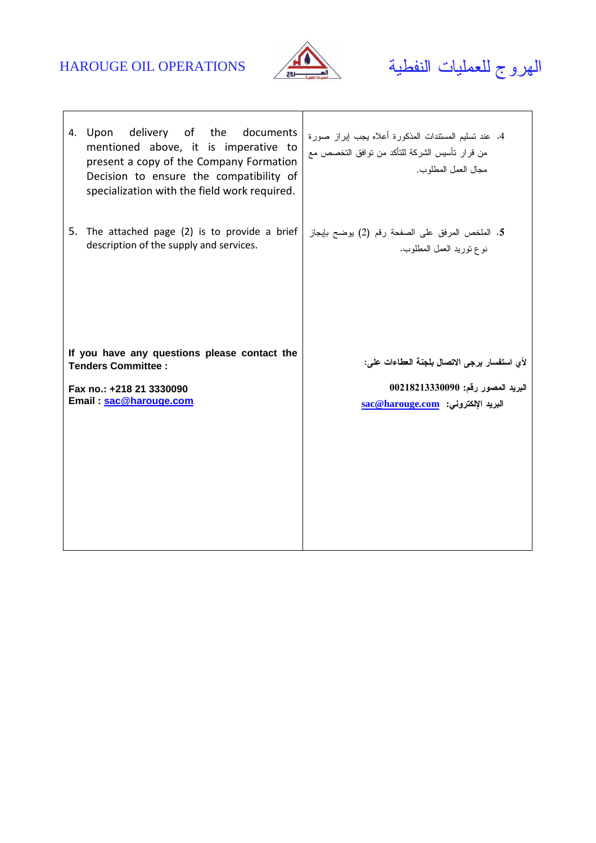

# الهروج للعمليات النفطية OPERATIONS OIL HAROUGE

| 4. Upon delivery of the documents<br>mentioned above, it is imperative to<br>present a copy of the Company Formation<br>Decision to ensure the compatibility of<br>specialization with the field work required. | 4. عند تسليم المستندات المذكورة أعلاه بجب ايراز صورة<br>من قرار تأسيس الشركة للتأكد من نوافق التخصص مع<br>مجال العمل المطلوب. |
|-----------------------------------------------------------------------------------------------------------------------------------------------------------------------------------------------------------------|-------------------------------------------------------------------------------------------------------------------------------|
| 5. The attached page (2) is to provide a brief                                                                                                                                                                  | 5. الملخص المرفق على الصفحة رقم (2) يوضح بإيجاز                                                                               |
| description of the supply and services.                                                                                                                                                                         | نوع توريد العمل المطلوب.                                                                                                      |
| If you have any questions please contact the<br><b>Tenders Committee:</b>                                                                                                                                       | لأي استفسار يرجى الاتصال بلجنة العطاءات على:                                                                                  |
| Fax no.: +218 21 3330090                                                                                                                                                                                        | البريد المصور رقم: 00218213330090                                                                                             |
| Email: sac@harouge.com                                                                                                                                                                                          | sac@harouge.com البريد الإلكتروني:                                                                                            |